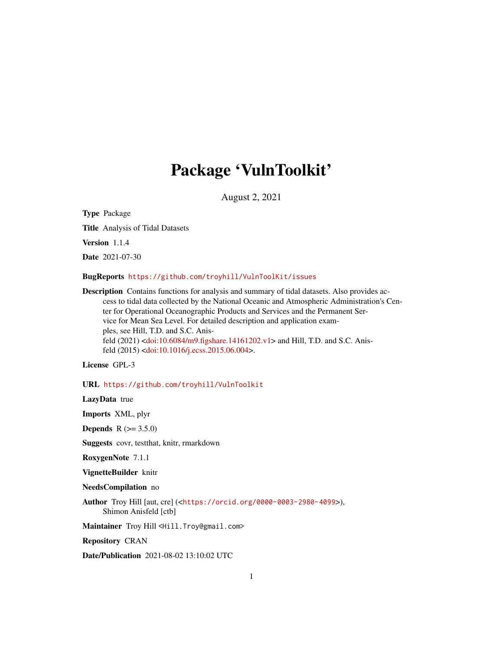# Package 'VulnToolkit'

August 2, 2021

Type Package

Title Analysis of Tidal Datasets

Version 1.1.4

Date 2021-07-30

BugReports <https://github.com/troyhill/VulnToolKit/issues>

Description Contains functions for analysis and summary of tidal datasets. Also provides access to tidal data collected by the National Oceanic and Atmospheric Administration's Center for Operational Oceanographic Products and Services and the Permanent Service for Mean Sea Level. For detailed description and application examples, see Hill, T.D. and S.C. Anisfeld (2021) [<doi:10.6084/m9.figshare.14161202.v1>](https://doi.org/10.6084/m9.figshare.14161202.v1) and Hill, T.D. and S.C. Anisfeld (2015) [<doi:10.1016/j.ecss.2015.06.004>](https://doi.org/10.1016/j.ecss.2015.06.004).

License GPL-3

URL <https://github.com/troyhill/VulnToolkit>

LazyData true

Imports XML, plyr

**Depends** R  $(>= 3.5.0)$ 

Suggests covr, testthat, knitr, rmarkdown

RoxygenNote 7.1.1

VignetteBuilder knitr

NeedsCompilation no

Author Troy Hill [aut, cre] (<<https://orcid.org/0000-0003-2980-4099>>), Shimon Anisfeld [ctb]

Maintainer Troy Hill <Hill. Troy@gmail.com>

Repository CRAN

Date/Publication 2021-08-02 13:10:02 UTC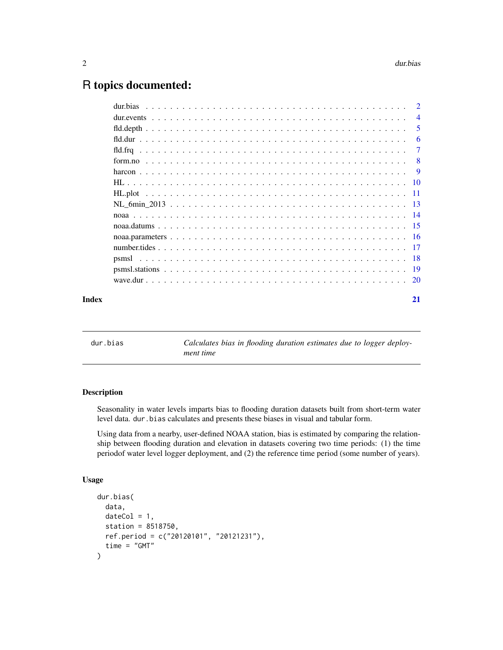# <span id="page-1-0"></span>R topics documented:

|       | $\overline{4}$ |
|-------|----------------|
|       | 5              |
|       | 6              |
|       | -7             |
|       |                |
|       |                |
|       |                |
|       |                |
|       |                |
|       |                |
|       |                |
|       |                |
|       |                |
|       |                |
|       |                |
|       |                |
| Index | 21             |

dur.bias *Calculates bias in flooding duration estimates due to logger deployment time*

# Description

Seasonality in water levels imparts bias to flooding duration datasets built from short-term water level data. dur.bias calculates and presents these biases in visual and tabular form.

Using data from a nearby, user-defined NOAA station, bias is estimated by comparing the relationship between flooding duration and elevation in datasets covering two time periods: (1) the time periodof water level logger deployment, and (2) the reference time period (some number of years).

# Usage

```
dur.bias(
  data,
 dateCol = 1,station = 8518750,
  ref.period = c("20120101", "20121231"),
  time = "GMT"
)
```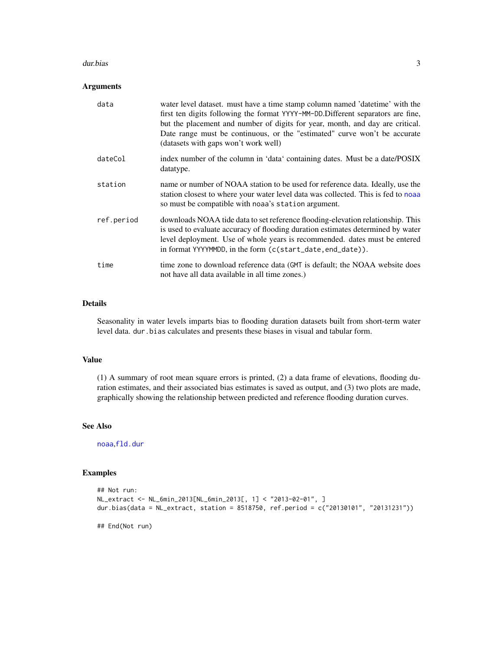#### <span id="page-2-0"></span>dur.bias 3

# Arguments

| data       | water level dataset. must have a time stamp column named 'datetime' with the<br>first ten digits following the format YYYY-MM-DD. Different separators are fine,<br>but the placement and number of digits for year, month, and day are critical.<br>Date range must be continuous, or the "estimated" curve won't be accurate<br>(datasets with gaps won't work well) |
|------------|------------------------------------------------------------------------------------------------------------------------------------------------------------------------------------------------------------------------------------------------------------------------------------------------------------------------------------------------------------------------|
| dateCol    | index number of the column in 'data' containing dates. Must be a date/POSIX<br>datatype.                                                                                                                                                                                                                                                                               |
| station    | name or number of NOAA station to be used for reference data. Ideally, use the<br>station closest to where your water level data was collected. This is fed to noaa<br>so must be compatible with noaa's station argument.                                                                                                                                             |
| ref.period | downloads NOAA tide data to set reference flooding-elevation relationship. This<br>is used to evaluate accuracy of flooding duration estimates determined by water<br>level deployment. Use of whole years is recommended, dates must be entered<br>in format YYYYMMDD, in the form (c(start_date, end_date)).                                                         |
| time       | time zone to download reference data (GMT is default; the NOAA website does<br>not have all data available in all time zones.)                                                                                                                                                                                                                                         |

# Details

Seasonality in water levels imparts bias to flooding duration datasets built from short-term water level data. dur.bias calculates and presents these biases in visual and tabular form.

#### Value

(1) A summary of root mean square errors is printed, (2) a data frame of elevations, flooding duration estimates, and their associated bias estimates is saved as output, and (3) two plots are made, graphically showing the relationship between predicted and reference flooding duration curves.

#### See Also

[noaa](#page-13-1),[fld.dur](#page-5-1)

```
## Not run:
NL_extract <- NL_6min_2013[NL_6min_2013[, 1] < "2013-02-01", ]
dur.bias(data = NL_extract, station = 8518750, ref.period = c("20130101", "20131231"))
## End(Not run)
```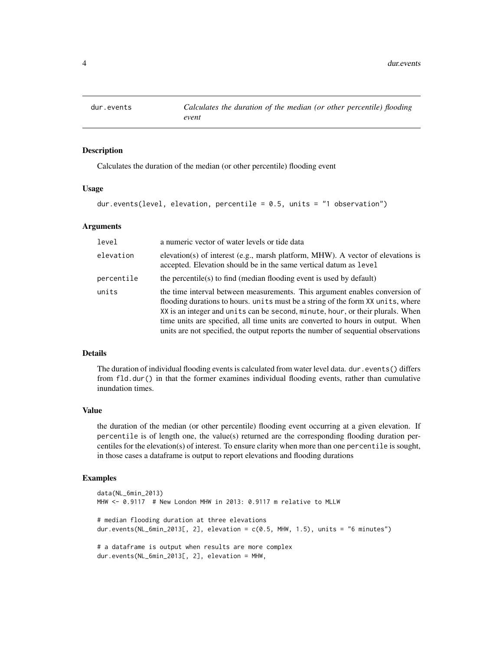<span id="page-3-0"></span>

Calculates the duration of the median (or other percentile) flooding event

# Usage

```
dur.events(level, elevation, percentile = 0.5, units = "1 observation")
```
#### Arguments

| level      | a numeric vector of water levels or tide data                                                                                                                                                                                                                                                                                                                                                                            |
|------------|--------------------------------------------------------------------------------------------------------------------------------------------------------------------------------------------------------------------------------------------------------------------------------------------------------------------------------------------------------------------------------------------------------------------------|
| elevation  | elevation(s) of interest (e.g., marsh platform, MHW). A vector of elevations is<br>accepted. Elevation should be in the same vertical datum as level                                                                                                                                                                                                                                                                     |
| percentile | the percentile(s) to find (median flooding event is used by default)                                                                                                                                                                                                                                                                                                                                                     |
| units      | the time interval between measurements. This argument enables conversion of<br>flooding durations to hours. units must be a string of the form XX units, where<br>XX is an integer and units can be second, minute, hour, or their plurals. When<br>time units are specified, all time units are converted to hours in output. When<br>units are not specified, the output reports the number of sequential observations |

#### Details

The duration of individual flooding events is calculated from water level data. dur.events() differs from fld.dur() in that the former examines individual flooding events, rather than cumulative inundation times.

#### Value

the duration of the median (or other percentile) flooding event occurring at a given elevation. If percentile is of length one, the value(s) returned are the corresponding flooding duration percentiles for the elevation(s) of interest. To ensure clarity when more than one percentile is sought, in those cases a dataframe is output to report elevations and flooding durations

```
data(NL_6min_2013)
MHW <- 0.9117 # New London MHW in 2013: 0.9117 m relative to MLLW
# median flooding duration at three elevations
dur.events(NL_6min_2013[, 2], elevation = c(0.5, MHW, 1.5), units = "6 minutes")
# a dataframe is output when results are more complex
dur.events(NL_6min_2013[, 2], elevation = MHW,
```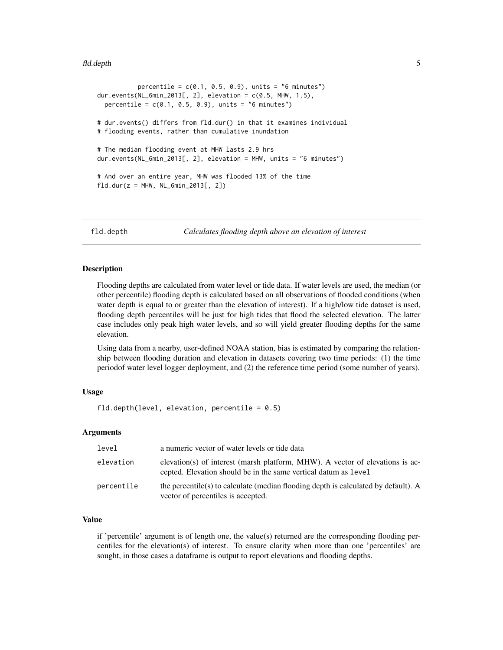#### <span id="page-4-0"></span>fld.depth 5

```
percentile = c(0.1, 0.5, 0.9), units = "6 minutes")dur.events(NL_6min_2013[, 2], elevation = c(0.5, MHW, 1.5),
 percentile = c(0.1, 0.5, 0.9), units = "6 minutes")
# dur.events() differs from fld.dur() in that it examines individual
# flooding events, rather than cumulative inundation
# The median flooding event at MHW lasts 2.9 hrs
dur.events(NL_6min_2013[, 2], elevation = MHW, units = "6 minutes")
# And over an entire year, MHW was flooded 13% of the time
fld. dur(z = MHW, NL_6min_2013[, 2])
```
fld.depth *Calculates flooding depth above an elevation of interest*

#### **Description**

Flooding depths are calculated from water level or tide data. If water levels are used, the median (or other percentile) flooding depth is calculated based on all observations of flooded conditions (when water depth is equal to or greater than the elevation of interest). If a high/low tide dataset is used, flooding depth percentiles will be just for high tides that flood the selected elevation. The latter case includes only peak high water levels, and so will yield greater flooding depths for the same elevation.

Using data from a nearby, user-defined NOAA station, bias is estimated by comparing the relationship between flooding duration and elevation in datasets covering two time periods: (1) the time periodof water level logger deployment, and (2) the reference time period (some number of years).

#### Usage

fld.depth(level, elevation, percentile =  $0.5$ )

# **Arguments**

| level      | a numeric vector of water levels or tide data                                                                                                    |
|------------|--------------------------------------------------------------------------------------------------------------------------------------------------|
| elevation  | elevation(s) of interest (marsh platform, MHW). A vector of elevations is ac-<br>cepted. Elevation should be in the same vertical datum as level |
| percentile | the percentile(s) to calculate (median flooding depth is calculated by default). A<br>vector of percentiles is accepted.                         |

#### Value

if 'percentile' argument is of length one, the value(s) returned are the corresponding flooding percentiles for the elevation(s) of interest. To ensure clarity when more than one 'percentiles' are sought, in those cases a dataframe is output to report elevations and flooding depths.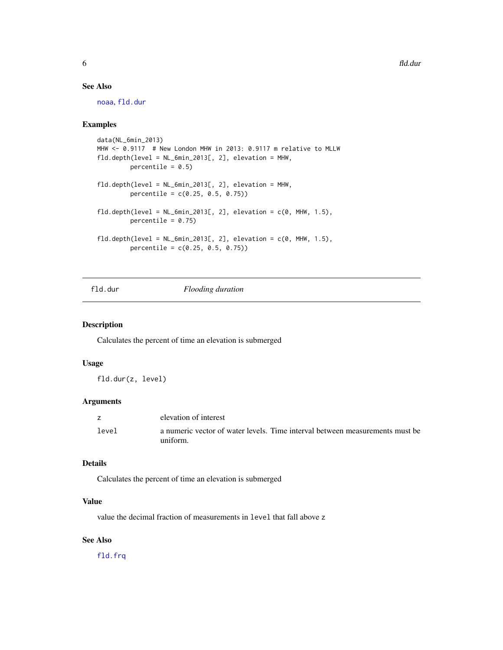# <span id="page-5-0"></span>See Also

[noaa](#page-13-1), [fld.dur](#page-5-1)

# Examples

```
data(NL_6min_2013)
MHW <- 0.9117 # New London MHW in 2013: 0.9117 m relative to MLLW
fld.depth(level = NL_6min_2013[, 2], elevation = MHW,
        percentile = 0.5)
fld.depth(level = NL_6min_2013[, 2], elevation = MHW,
        percentile = c(0.25, 0.5, 0.75))
fld.depth(level = NL_6min_2013[, 2], elevation = c(0, MHW, 1.5),
         percentile = 0.75)
fld.depth(level = NL_6min_2013[, 2], elevation = c(0, MHW, 1.5),percentile = c(0.25, 0.5, 0.75))
```
# <span id="page-5-1"></span>fld.dur *Flooding duration*

# Description

Calculates the percent of time an elevation is submerged

#### Usage

fld.dur(z, level)

# Arguments

|       | elevation of interest                                                        |
|-------|------------------------------------------------------------------------------|
| level | a numeric vector of water levels. Time interval between measurements must be |
|       | uniform.                                                                     |

#### Details

Calculates the percent of time an elevation is submerged

# Value

value the decimal fraction of measurements in level that fall above z

# See Also

[fld.frq](#page-6-1)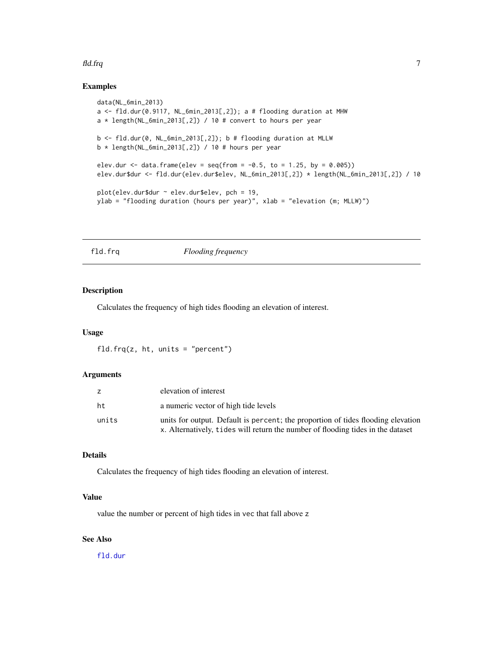#### <span id="page-6-0"></span>fld.frq 7

# Examples

```
data(NL_6min_2013)
a <- fld.dur(0.9117, NL_6min_2013[,2]); a # flooding duration at MHW
a * length(NL_6min_2013[,2]) / 10 # convert to hours per year
b \leq f1d.dur(0, NL_6min_2013[, 2]); b \# flooding duration at MLLW
b * length(NL_6min_2013[,2]) / 10 # hours per year
elev.dur <- data.frame(elev = seq(from = -0.5, to = 1.25, by = 0.005))
elev.dur$dur <- fld.dur(elev.dur$elev, NL_6min_2013[,2]) * length(NL_6min_2013[,2]) / 10
plot(elev.dur$dur ~ elev.dur$elev, pch = 19,
ylab = "flooding duration (hours per year)", xlab = "elevation (m; MLLW)")
```
<span id="page-6-1"></span>fld.frq *Flooding frequency*

# Description

Calculates the frequency of high tides flooding an elevation of interest.

#### Usage

fld.frq $(z, ht, units = "percent")$ 

# Arguments

|       | elevation of interest                                                                                                                                               |
|-------|---------------------------------------------------------------------------------------------------------------------------------------------------------------------|
| ht    | a numeric vector of high tide levels                                                                                                                                |
| units | units for output. Default is percent; the proportion of tides flooding elevation<br>x. Alternatively, tides will return the number of flooding tides in the dataset |
|       |                                                                                                                                                                     |

# Details

Calculates the frequency of high tides flooding an elevation of interest.

# Value

value the number or percent of high tides in vec that fall above z

# See Also

[fld.dur](#page-5-1)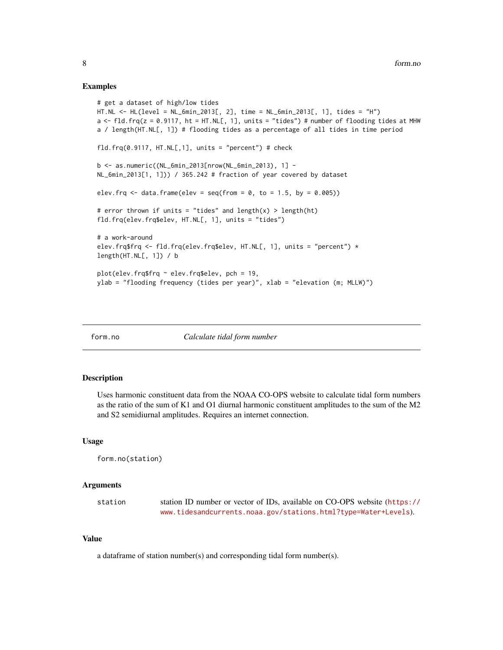#### <span id="page-7-0"></span>Examples

```
# get a dataset of high/low tides
HT.NL <- HL(level = NL_6min_2013[, 2], time = NL_6min_2013[, 1], tides = "H")
a \le fld.frq(z = 0.9117, ht = HT.NL[, 1], units = "tides") # number of flooding tides at MHW
a / length(HT.NL[, 1]) # flooding tides as a percentage of all tides in time period
fld.frq(0.9117, HT.NL[,1], units = "percent") # check
b <- as.numeric((NL_6min_2013[nrow(NL_6min_2013), 1] -
NL_6min_2013[1, 1])) / 365.242 # fraction of year covered by dataset
elev.frq \leq data.frame(elev = seq(from = 0, to = 1.5, by = 0.005))
# error thrown if units = "tides" and length(x) > length(ht)
fld.frq(elev.frq$elev, HT.NL[, 1], units = "tides")
# a work-around
elev.frq$frq <- fld.frq(elev.frq$elev, HT.NL[, 1], units = "percent") *
length(HT.NL[, 1]) / b
plot(elev.frq$frq ~ elev.frq$elev, pch = 19,
ylab = "flooding frequency (tides per year)", xlab = "elevation (m; MLLW)")
```
form.no *Calculate tidal form number*

# Description

Uses harmonic constituent data from the NOAA CO-OPS website to calculate tidal form numbers as the ratio of the sum of K1 and O1 diurnal harmonic constituent amplitudes to the sum of the M2 and S2 semidiurnal amplitudes. Requires an internet connection.

#### Usage

form.no(station)

#### Arguments

station station ID number or vector of IDs, available on CO-OPS website ([https://](https://www.tidesandcurrents.noaa.gov/stations.html?type=Water+Levels) [www.tidesandcurrents.noaa.gov/stations.html?type=Water+Levels](https://www.tidesandcurrents.noaa.gov/stations.html?type=Water+Levels)).

# Value

a dataframe of station number(s) and corresponding tidal form number(s).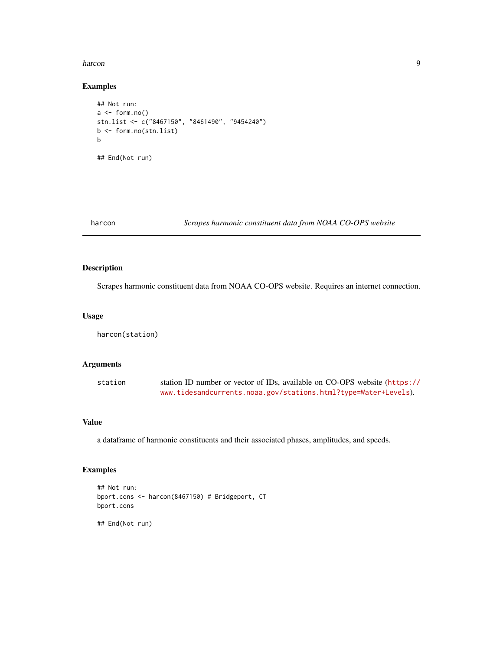#### <span id="page-8-0"></span>harcon **9** and 2012 **12 and 2012 12 and 2012 12 and 2012 12 and 2012 12 and 2013 9 9**

# Examples

```
## Not run:
a \leftarrow form.no()stn.list <- c("8467150", "8461490", "9454240")
b <- form.no(stn.list)
b
## End(Not run)
```
harcon *Scrapes harmonic constituent data from NOAA CO-OPS website*

# Description

Scrapes harmonic constituent data from NOAA CO-OPS website. Requires an internet connection.

# Usage

harcon(station)

# Arguments

| station | station ID number or vector of IDs, available on CO-OPS website (https:// |
|---------|---------------------------------------------------------------------------|
|         | www.tidesandcurrents.noaa.gov/stations.html?type=Water+Levels).           |

# Value

a dataframe of harmonic constituents and their associated phases, amplitudes, and speeds.

```
## Not run:
bport.cons <- harcon(8467150) # Bridgeport, CT
bport.cons
## End(Not run)
```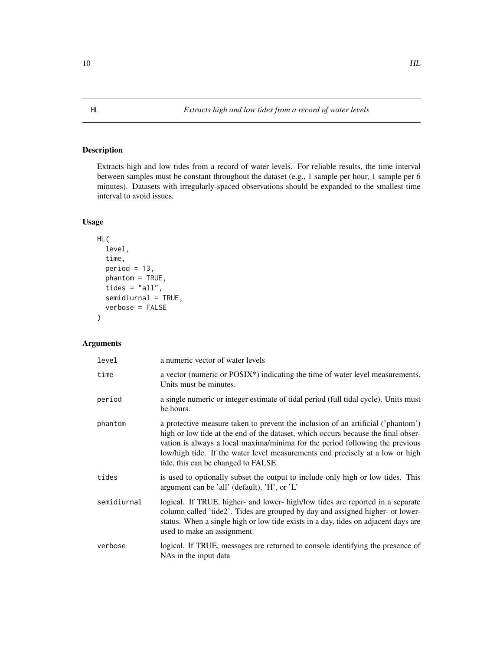<span id="page-9-1"></span><span id="page-9-0"></span>Extracts high and low tides from a record of water levels. For reliable results, the time interval between samples must be constant throughout the dataset (e.g., 1 sample per hour, 1 sample per 6 minutes). Datasets with irregularly-spaced observations should be expanded to the smallest time interval to avoid issues.

# Usage

```
HL(
  level,
  time,
  period = 13,
 phantom = TRUE,
  tides = "all",
  semidiurnal = TRUE,
  verbose = FALSE
)
```
# Arguments

| level       | a numeric vector of water levels                                                                                                                                                                                                                                                                                                                                              |
|-------------|-------------------------------------------------------------------------------------------------------------------------------------------------------------------------------------------------------------------------------------------------------------------------------------------------------------------------------------------------------------------------------|
| time        | a vector (numeric or POSIX <sup>*</sup> ) indicating the time of water level measurements.<br>Units must be minutes.                                                                                                                                                                                                                                                          |
| period      | a single numeric or integer estimate of tidal period (full tidal cycle). Units must<br>be hours.                                                                                                                                                                                                                                                                              |
| phantom     | a protective measure taken to prevent the inclusion of an artificial ('phantom')<br>high or low tide at the end of the dataset, which occurs because the final obser-<br>vation is always a local maxima/minima for the period following the previous<br>low/high tide. If the water level measurements end precisely at a low or high<br>tide, this can be changed to FALSE. |
| tides       | is used to optionally subset the output to include only high or low tides. This<br>argument can be 'all' (default), 'H', or 'L'                                                                                                                                                                                                                                               |
| semidiurnal | logical. If TRUE, higher- and lower- high/low tides are reported in a separate<br>column called 'tide2'. Tides are grouped by day and assigned higher- or lower-<br>status. When a single high or low tide exists in a day, tides on adjacent days are<br>used to make an assignment.                                                                                         |
| verbose     | logical. If TRUE, messages are returned to console identifying the presence of<br>NAs in the input data                                                                                                                                                                                                                                                                       |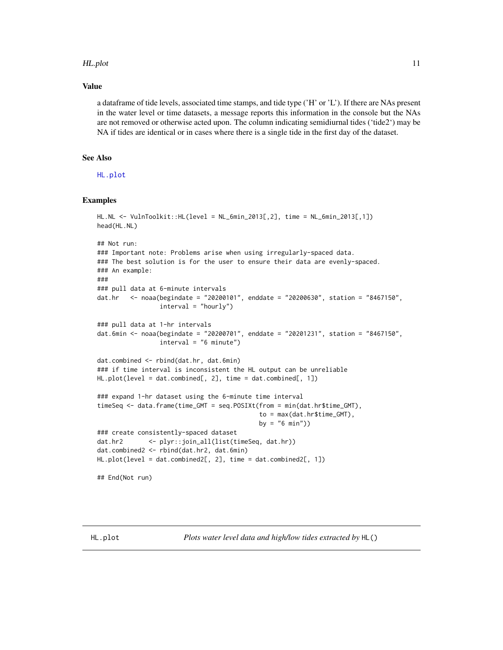#### <span id="page-10-0"></span>HL.plot 11

#### Value

a dataframe of tide levels, associated time stamps, and tide type ('H' or 'L'). If there are NAs present in the water level or time datasets, a message reports this information in the console but the NAs are not removed or otherwise acted upon. The column indicating semidiurnal tides ('tide2') may be NA if tides are identical or in cases where there is a single tide in the first day of the dataset.

# See Also

[HL.plot](#page-10-1)

```
HL.NL <- VulnToolkit::HL(level = NL_6min_2013[,2], time = NL_6min_2013[,1])
head(HL.NL)
## Not run:
### Important note: Problems arise when using irregularly-spaced data.
### The best solution is for the user to ensure their data are evenly-spaced.
### An example:
###
### pull data at 6-minute intervals
dat.hr <- noaa(begindate = "20200101", enddate = "20200630", station = "8467150",
                 interval = "hourly")
### pull data at 1-hr intervals
dat.6min <- noaa(begindate = "20200701", enddate = "20201231", station = "8467150",
                 interval = "6 minute")dat.combined <- rbind(dat.hr, dat.6min)
### if time interval is inconsistent the HL output can be unreliable
HL.plot(level = dat.combined[, 2], time = dat.combined[, 1])
### expand 1-hr dataset using the 6-minute time interval
timeSeq <- data.frame(time_GMT = seq.POSIXt(from = min(dat.hr$time_GMT),
                                            to = max(dat.hr$time_GMT),
                                            by = "6 min"))
### create consistently-spaced dataset
dat.hr2 <- plyr::join_all(list(timeSeq, dat.hr))
dat.combined2 <- rbind(dat.hr2, dat.6min)
HL.plot(level = dat.combined2[, 2], time = dat.combined2[, 1])
## End(Not run)
```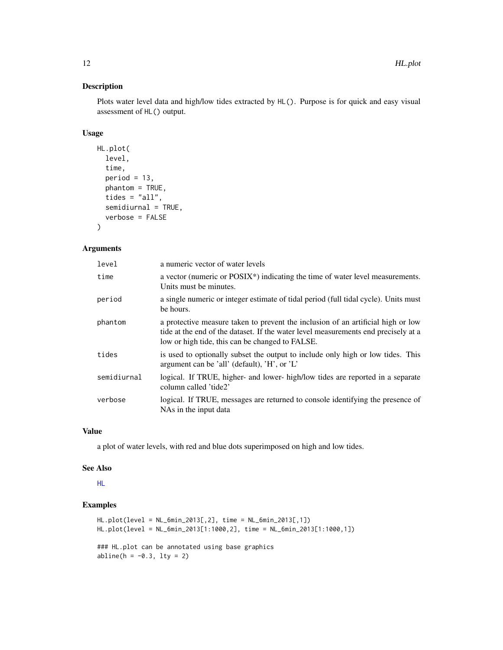Plots water level data and high/low tides extracted by HL(). Purpose is for quick and easy visual assessment of HL() output.

# Usage

```
HL.plot(
  level,
  time,
  period = 13,
  phantom = TRUE,
  tides = "all",
  semidiurnal = TRUE,
  verbose = FALSE
\lambda
```
# Arguments

| level       | a numeric vector of water levels                                                                                                                                                                                          |
|-------------|---------------------------------------------------------------------------------------------------------------------------------------------------------------------------------------------------------------------------|
| time        | a vector (numeric or POSIX*) indicating the time of water level measurements.<br>Units must be minutes.                                                                                                                   |
| period      | a single numeric or integer estimate of tidal period (full tidal cycle). Units must<br>be hours.                                                                                                                          |
| phantom     | a protective measure taken to prevent the inclusion of an artificial high or low<br>tide at the end of the dataset. If the water level measurements end precisely at a<br>low or high tide, this can be changed to FALSE. |
| tides       | is used to optionally subset the output to include only high or low tides. This<br>argument can be 'all' (default), 'H', or $'L'$                                                                                         |
| semidiurnal | logical. If TRUE, higher- and lower- high/low tides are reported in a separate<br>column called 'tide2'                                                                                                                   |
| verbose     | logical. If TRUE, messages are returned to console identifying the presence of<br>NAs in the input data                                                                                                                   |

#### Value

a plot of water levels, with red and blue dots superimposed on high and low tides.

#### See Also

[HL](#page-9-1)

```
HL.plot(level = NL_6min_2013[,2], time = NL_6min_2013[,1])
HL.plot(level = NL_6min_2013[1:1000,2], time = NL_6min_2013[1:1000,1])
### HL.plot can be annotated using base graphics
abline(h = -0.3, lty = 2)
```
<span id="page-11-0"></span>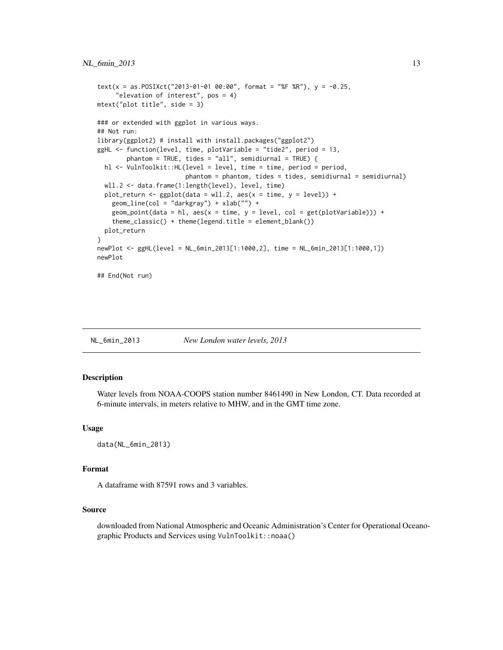```
text(x = as.POSIXct("2013-01-01 00:00", format = "%F %R"), y = -0.25,
     "elevation of interest", pos = 4)
mtext("plot title", side = 3)
### or extended with ggplot in various ways.
## Not run:
library(ggplot2) # install with install.packages("ggplot2")
ggHL <- function(level, time, plotVariable = "tide2", period = 13,
        phantom = TRUE, tides = "all", semidiurnal = TRUE) {
 hl <- VulnToolkit::HL(level = level, time = time, period = period,
                        phantom = phantom, tides = tides, semidiurnal = semidiurnal)
 wll.2 <- data.frame(1:length(level), level, time)
 plot_return <- ggplot(data = w11.2, aes(x = time, y = level)) +geom_line(col = "darkgray") + xlab("") +
    geom\_point(data = h1, aes(x = time, y = level, col = get(plotVariable))) +theme_classic() + theme(legend.title = element_blank())
 plot_return
}
newPlot <- ggHL(level = NL_6min_2013[1:1000,2], time = NL_6min_2013[1:1000,1])
newPlot
## End(Not run)
```
NL\_6min\_2013 *New London water levels, 2013*

# Description

Water levels from NOAA-COOPS station number 8461490 in New London, CT. Data recorded at 6-minute intervals, in meters relative to MHW, and in the GMT time zone.

#### Usage

```
data(NL_6min_2013)
```
#### Format

A dataframe with 87591 rows and 3 variables.

# Source

downloaded from National Atmospheric and Oceanic Administration's Center for Operational Oceanographic Products and Services using VulnToolkit::noaa()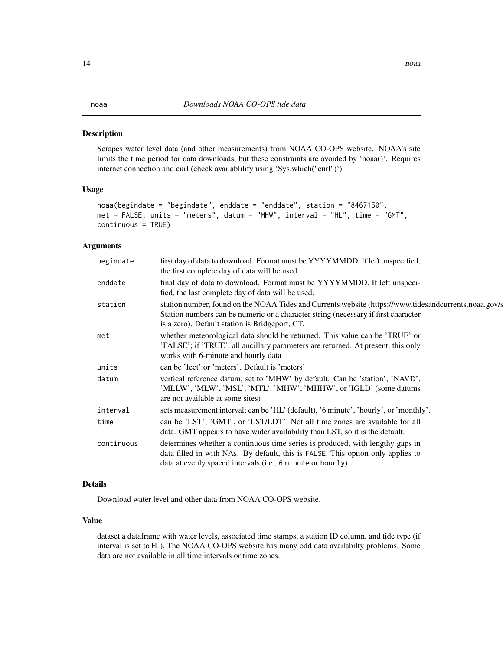<span id="page-13-1"></span><span id="page-13-0"></span>Scrapes water level data (and other measurements) from NOAA CO-OPS website. NOAA's site limits the time period for data downloads, but these constraints are avoided by 'noaa()'. Requires internet connection and curl (check availablility using 'Sys.which("curl")').

#### Usage

```
noaa(begindate = "begindate", enddate = "enddate", station = "8467150",
met = FALSE, units = "meters", datum = "MHW", interval = "HL", time = "GMT",
continuous = TRUE)
```
#### Arguments

| begindate  | first day of data to download. Format must be YYYYMMDD. If left unspecified,<br>the first complete day of data will be used.                                                                                                                  |
|------------|-----------------------------------------------------------------------------------------------------------------------------------------------------------------------------------------------------------------------------------------------|
| enddate    | final day of data to download. Format must be YYYYMMDD. If left unspeci-<br>fied, the last complete day of data will be used.                                                                                                                 |
| station    | station number, found on the NOAA Tides and Currents website (https://www.tidesandcurrents.noaa.gov/s<br>Station numbers can be numeric or a character string (necessary if first character<br>is a zero). Default station is Bridgeport, CT. |
| met        | whether meteorological data should be returned. This value can be 'TRUE' or<br>'FALSE'; if 'TRUE', all ancillary parameters are returned. At present, this only<br>works with 6-minute and hourly data                                        |
| units      | can be 'feet' or 'meters'. Default is 'meters'                                                                                                                                                                                                |
| datum      | vertical reference datum, set to 'MHW' by default. Can be 'station', 'NAVD',<br>'MLLW', 'MLW', 'MSL', 'MTL', 'MHW', 'MHHW', or 'IGLD' (some datums)<br>are not available at some sites)                                                       |
| interval   | sets measurement interval; can be 'HL' (default), '6 minute', 'hourly', or 'monthly'.                                                                                                                                                         |
| time       | can be 'LST', 'GMT', or 'LST/LDT'. Not all time zones are available for all<br>data. GMT appears to have wider availability than LST, so it is the default.                                                                                   |
| continuous | determines whether a continuous time series is produced, with lengthy gaps in<br>data filled in with NAs. By default, this is FALSE. This option only applies to<br>data at evenly spaced intervals (i.e., 6 minute or hourly)                |
|            |                                                                                                                                                                                                                                               |

# Details

Download water level and other data from NOAA CO-OPS website.

#### Value

dataset a dataframe with water levels, associated time stamps, a station ID column, and tide type (if interval is set to HL). The NOAA CO-OPS website has many odd data availabilty problems. Some data are not available in all time intervals or time zones.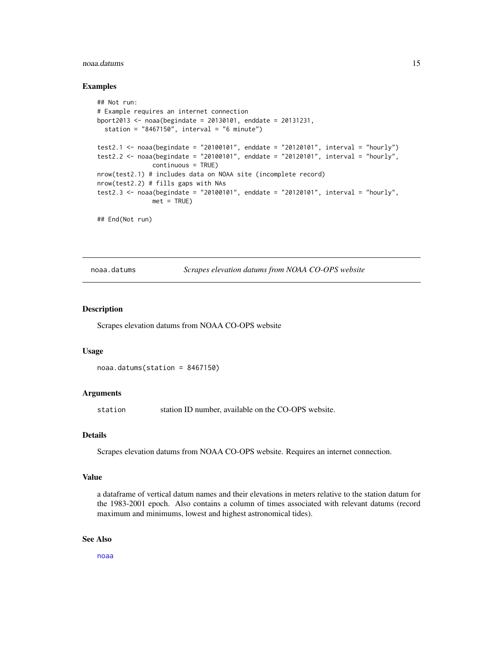#### <span id="page-14-0"></span>noaa.datums 15

#### Examples

```
## Not run:
# Example requires an internet connection
bport2013 <- noaa(begindate = 20130101, enddate = 20131231,
 station = "8467150", interval = "6 minute")
test2.1 <- noaa(begindate = "20100101", enddate = "20120101", interval = "hourly")
test2.2 <- noaa(begindate = "20100101", enddate = "20120101", interval = "hourly",
              continuous = TRUE)
nrow(test2.1) # includes data on NOAA site (incomplete record)
nrow(test2.2) # fills gaps with NAs
test2.3 <- noaa(begindate = "20100101", enddate = "20120101", interval = "hourly",
              met = TRUE)
## End(Not run)
```
noaa.datums *Scrapes elevation datums from NOAA CO-OPS website*

# Description

Scrapes elevation datums from NOAA CO-OPS website

#### Usage

```
noaa.datums(station = 8467150)
```
#### Arguments

station station ID number, available on the CO-OPS website.

#### Details

Scrapes elevation datums from NOAA CO-OPS website. Requires an internet connection.

#### Value

a dataframe of vertical datum names and their elevations in meters relative to the station datum for the 1983-2001 epoch. Also contains a column of times associated with relevant datums (record maximum and minimums, lowest and highest astronomical tides).

#### See Also

[noaa](#page-13-1)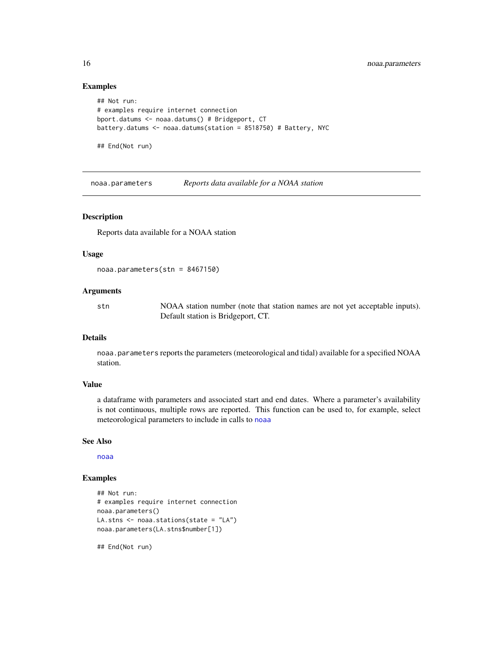#### Examples

```
## Not run:
# examples require internet connection
bport.datums <- noaa.datums() # Bridgeport, CT
battery.datums <- noaa.datums(station = 8518750) # Battery, NYC
```
## End(Not run)

noaa.parameters *Reports data available for a NOAA station*

# Description

Reports data available for a NOAA station

#### Usage

```
noaa.parameters(stn = 8467150)
```
#### Arguments

stn NOAA station number (note that station names are not yet acceptable inputs). Default station is Bridgeport, CT.

#### Details

noaa.parameters reports the parameters (meteorological and tidal) available for a specified NOAA station.

# Value

a dataframe with parameters and associated start and end dates. Where a parameter's availability is not continuous, multiple rows are reported. This function can be used to, for example, select meteorological parameters to include in calls to [noaa](#page-13-1)

#### See Also

[noaa](#page-13-1)

# Examples

```
## Not run:
# examples require internet connection
noaa.parameters()
LA.stns <- noaa.stations(state = "LA")
noaa.parameters(LA.stns$number[1])
```
## End(Not run)

<span id="page-15-0"></span>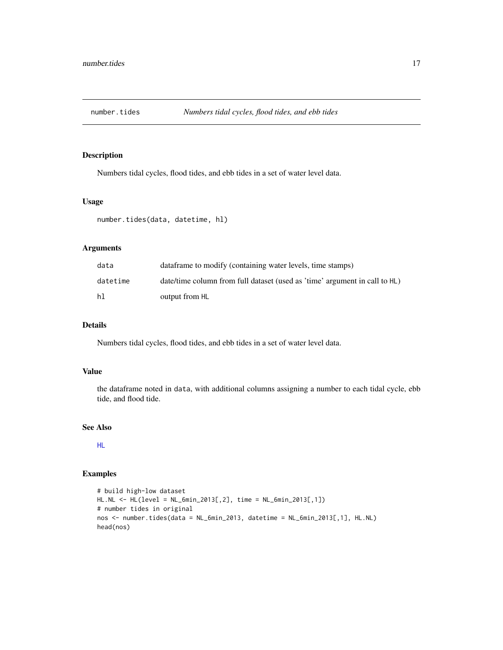<span id="page-16-0"></span>

Numbers tidal cycles, flood tides, and ebb tides in a set of water level data.

#### Usage

```
number.tides(data, datetime, hl)
```
# Arguments

| data     | data frame to modify (containing water levels, time stamps)                |
|----------|----------------------------------------------------------------------------|
| datetime | date/time column from full dataset (used as 'time' argument in call to HL) |
| hl       | output from HL                                                             |

# Details

Numbers tidal cycles, flood tides, and ebb tides in a set of water level data.

# Value

the dataframe noted in data, with additional columns assigning a number to each tidal cycle, ebb tide, and flood tide.

# See Also

[HL](#page-9-1)

```
# build high-low dataset
HL.NL <- HL(level = NL_6min_2013[,2], time = NL_6min_2013[,1])
# number tides in original
nos <- number.tides(data = NL_6min_2013, datetime = NL_6min_2013[,1], HL.NL)
head(nos)
```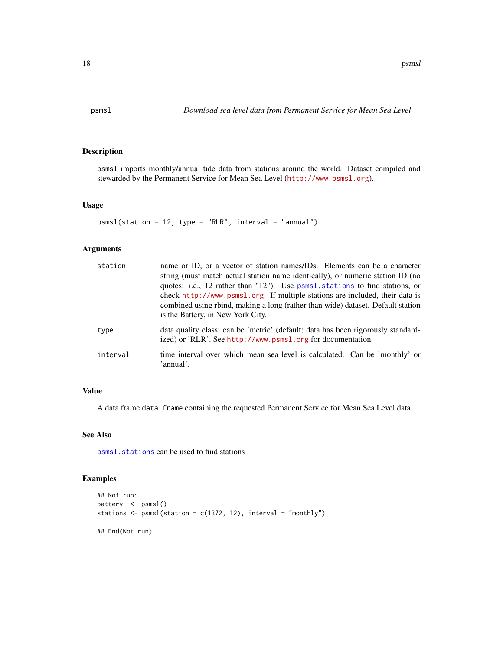<span id="page-17-1"></span><span id="page-17-0"></span>

psmsl imports monthly/annual tide data from stations around the world. Dataset compiled and stewarded by the Permanent Service for Mean Sea Level (<http://www.psmsl.org>).

#### Usage

```
psmsl(station = 12, type = "RLR", interval = "annual")
```
# Arguments

| station  | name or ID, or a vector of station names/IDs. Elements can be a character<br>string (must match actual station name identically), or numeric station ID (no<br>quotes: i.e., 12 rather than "12"). Use psmsl.stations to find stations, or<br>check http://www.psms1.org. If multiple stations are included, their data is<br>combined using rbind, making a long (rather than wide) dataset. Default station<br>is the Battery, in New York City. |
|----------|----------------------------------------------------------------------------------------------------------------------------------------------------------------------------------------------------------------------------------------------------------------------------------------------------------------------------------------------------------------------------------------------------------------------------------------------------|
| type     | data quality class; can be 'metric' (default; data has been rigorously standard-<br>ized) or 'RLR'. See http://www.psms1.org for documentation.                                                                                                                                                                                                                                                                                                    |
| interval | time interval over which mean sea level is calculated. Can be 'monthly' or<br>'annual'.                                                                                                                                                                                                                                                                                                                                                            |

# Value

A data frame data. frame containing the requested Permanent Service for Mean Sea Level data.

#### See Also

[psmsl.stations](#page-18-1) can be used to find stations

```
## Not run:
battery <- psmsl()
stations \leq psmsl(station = c(1372, 12), interval = "monthly")
## End(Not run)
```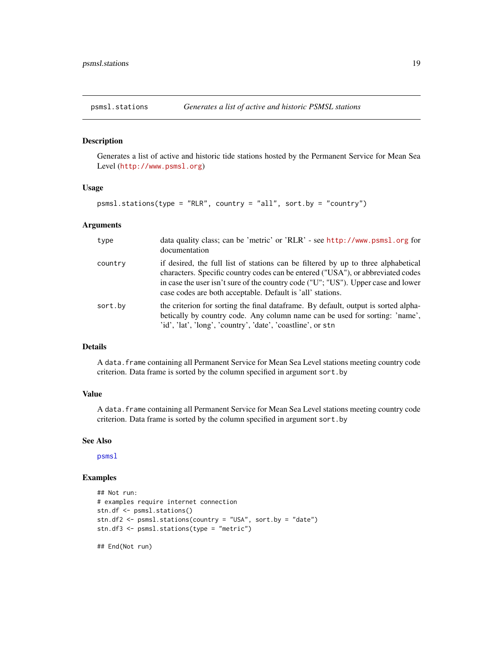<span id="page-18-1"></span><span id="page-18-0"></span>

Generates a list of active and historic tide stations hosted by the Permanent Service for Mean Sea Level (<http://www.psmsl.org>)

#### Usage

psmsl.stations(type = "RLR", country = "all", sort.by = "country")

# Arguments

| type    | data quality class; can be 'metric' or 'RLR' - see http://www.psmsl.org for<br>documentation                                                                                                                                                                                                                            |
|---------|-------------------------------------------------------------------------------------------------------------------------------------------------------------------------------------------------------------------------------------------------------------------------------------------------------------------------|
| country | if desired, the full list of stations can be filtered by up to three alphabetical<br>characters. Specific country codes can be entered ("USA"), or abbreviated codes<br>in case the user isn't sure of the country code ("U"; "US"). Upper case and lower<br>case codes are both acceptable. Default is 'all' stations. |
| sort.by | the criterion for sorting the final dataframe. By default, output is sorted alpha-<br>betically by country code. Any column name can be used for sorting: 'name',<br>'id', 'lat', 'long', 'country', 'date', 'coastline', or stn                                                                                        |

# Details

A data.frame containing all Permanent Service for Mean Sea Level stations meeting country code criterion. Data frame is sorted by the column specified in argument sort.by

# Value

A data.frame containing all Permanent Service for Mean Sea Level stations meeting country code criterion. Data frame is sorted by the column specified in argument sort.by

# See Also

[psmsl](#page-17-1)

```
## Not run:
# examples require internet connection
stn.df <- psmsl.stations()
stn.df2 <- psmsl.stations(country = "USA", sort.by = "date")
stn.df3 <- psmsl.stations(type = "metric")
```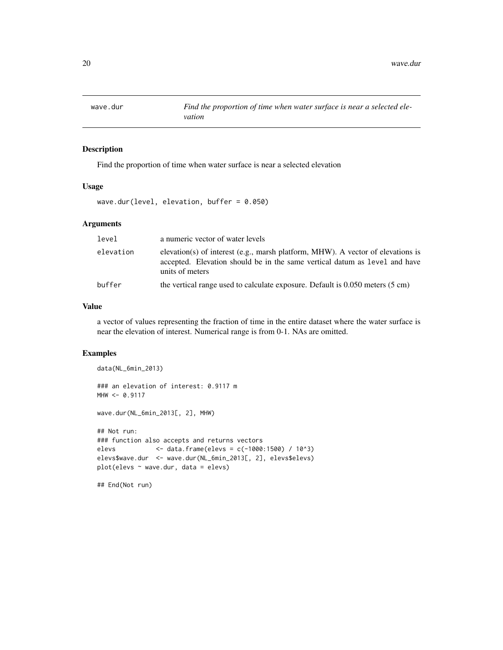<span id="page-19-0"></span>

Find the proportion of time when water surface is near a selected elevation

#### Usage

wave.dur(level, elevation, buffer = 0.050)

# Arguments

| level     | a numeric vector of water levels                                                                                                                                                 |
|-----------|----------------------------------------------------------------------------------------------------------------------------------------------------------------------------------|
| elevation | elevation(s) of interest (e.g., marsh platform, MHW). A vector of elevations is<br>accepted. Elevation should be in the same vertical datum as level and have<br>units of meters |
| buffer    | the vertical range used to calculate exposure. Default is 0.050 meters (5 cm)                                                                                                    |

#### Value

a vector of values representing the fraction of time in the entire dataset where the water surface is near the elevation of interest. Numerical range is from 0-1. NAs are omitted.

```
data(NL_6min_2013)
### an elevation of interest: 0.9117 m
MHW < -0.9117wave.dur(NL_6min_2013[, 2], MHW)
## Not run:
### function also accepts and returns vectors
elevs <- data.frame(elevs = c(-1000:1500) / 10^3)
elevs$wave.dur <- wave.dur(NL_6min_2013[, 2], elevs$elevs)
plot(elevs ~ wave.dur, data = elevs)
## End(Not run)
```